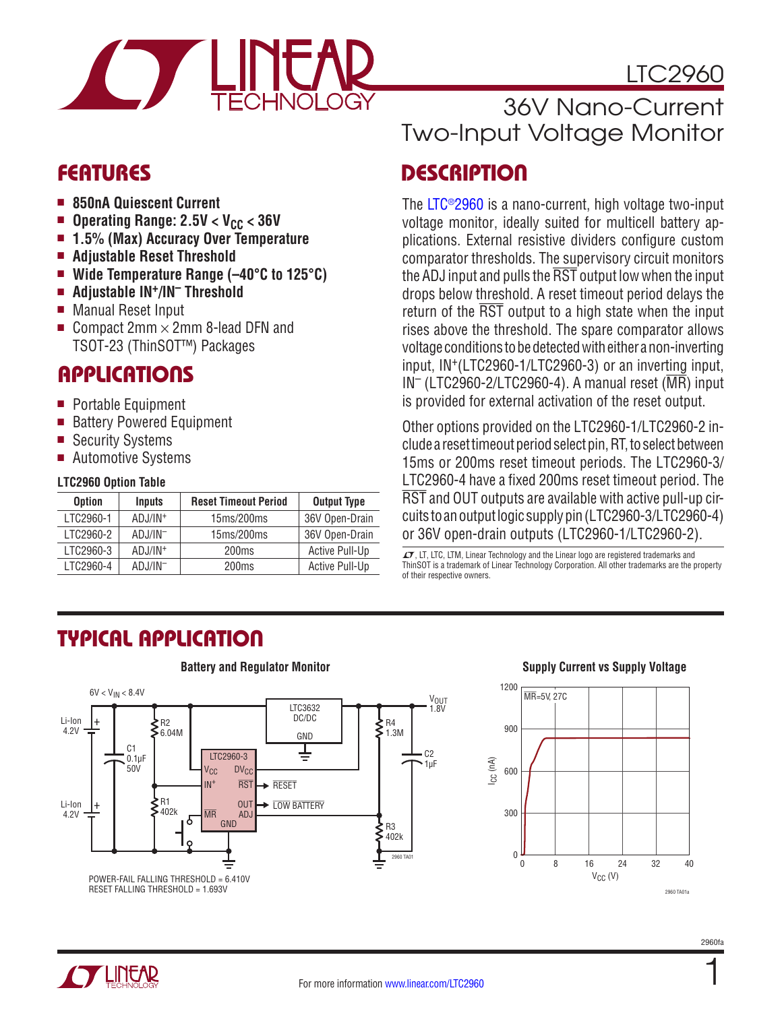

## LTC2960

- <sup>n</sup> **850nA Quiescent Current**
- Operating Range: 2.5V < V<sub>CC</sub> < 36V<br>■ 1.5% (Max) Accuracy Over Temnera
- <sup>n</sup> **1.5% (Max) Accuracy Over Temperature**
- Adjustable Reset Threshold
- Wide Temperature Range (-40°C to 125°C)
- Adjustable IN<sup>+</sup>/IN<sup>-</sup> Threshold
- Manual Reset Input
- Compact 2mm  $\times$  2mm 8-lead DFN and TSOT-23 (ThinSOT™) Packages

## **APPLICATIONS**

- Portable Equipment
- Battery Powered Equipment
- Security Systems
- Automotive Systems

#### **LTC2960 Option Table**

| <b>Option</b> | <b>Inputs</b>       | <b>Reset Timeout Period</b> | <b>Output Type</b>    |
|---------------|---------------------|-----------------------------|-----------------------|
| LTC2960-1     | $ADJ/IN^+$          | 15ms/200ms                  | 36V Open-Drain        |
| LTC2960-2     | $ADJ/IN^-$          | 15ms/200ms                  | 36V Open-Drain        |
| LTC2960-3     | ADJ/IN <sup>+</sup> | 200ms                       | Active Pull-Up        |
| LTC2960-4     | $ADJ/IN^-$          | 200 <sub>ms</sub>           | <b>Active Pull-Up</b> |

# 36V Nano-Current Two-Input Voltage Monitor

## FEATURES DESCRIPTION

The [LTC®2960](http://www.linear.com/LTC2960) is a nano-current, high voltage two-input voltage monitor, ideally suited for multicell battery applications. External resistive dividers configure custom comparator thresholds. The supervisory circuit monitors the ADJ input and pulls the  $\overline{\text{RST}}$  output low when the input drops below threshold. A reset timeout period delays the return of the  $\overline{RST}$  output to a high state when the input rises above the threshold. The spare comparator allows voltageconditionstobedetectedwitheither a non-inverting input, IN+(LTC2960-1/LTC2960-3) or an inverting input,  $IN^-$  (LTC2960-2/LTC2960-4). A manual reset ( $\overline{MR}$ ) input is provided for external activation of the reset output.

Other options provided on the LTC2960-1/LTC2960-2 include a reset timeout period select pin, RT, to select between 15ms or 200ms reset timeout periods. The LTC2960-3/ LTC2960-4 have a fixed 200ms reset timeout period. The RST and OUT outputs are available with active pull-up circuits toanoutputlogic supplypin (LTC2960-3/LTC2960-4) or 36V open-drain outputs (LTC2960-1/LTC2960-2).

 $I$ , LT, LTC, LTM, Linear Technology and the Linear logo are registered trademarks and ThinSOT is a trademark of Linear Technology Corporation. All other trademarks are the property of their respective owners.

# Typical Application



#### **Battery and Regulator Monitor Supply Current vs Supply Voltage**



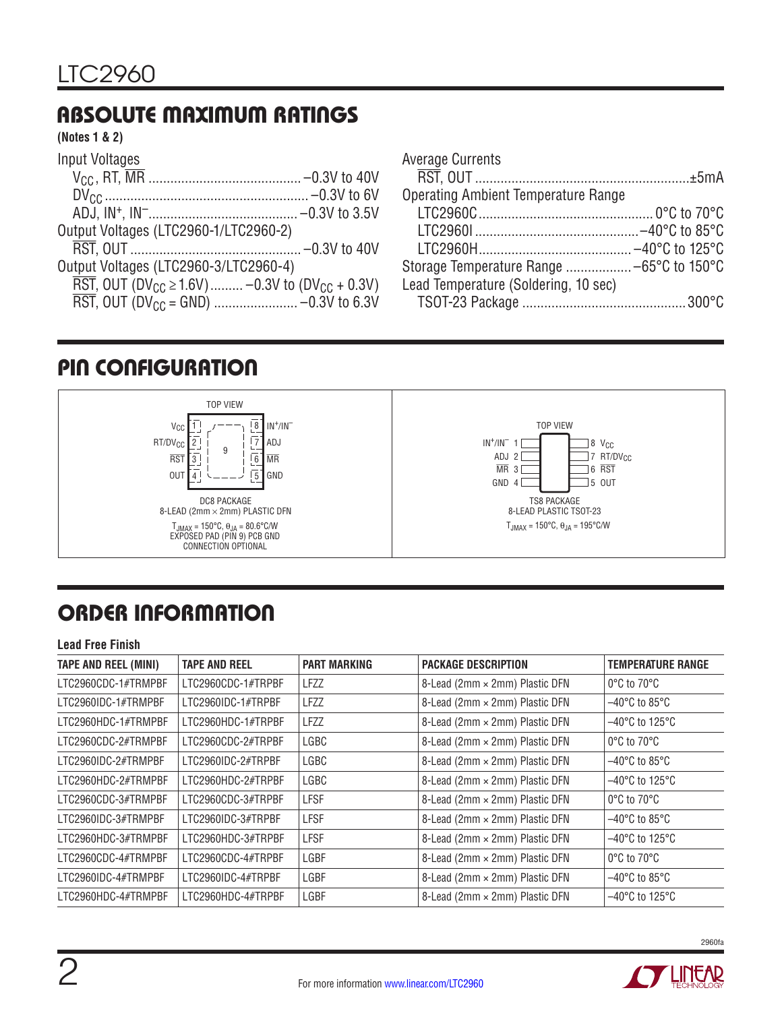# Absolute Maximum Ratings

#### **(Notes 1 & 2)**

| Input Voltages                                                                                   |  |
|--------------------------------------------------------------------------------------------------|--|
|                                                                                                  |  |
|                                                                                                  |  |
|                                                                                                  |  |
| Output Voltages (LTC2960-1/LTC2960-2)                                                            |  |
|                                                                                                  |  |
| Output Voltages (LTC2960-3/LTC2960-4)                                                            |  |
| $\overline{\text{RST}}$ , OUT (DV <sub>CC</sub> $\geq$ 1.6V)  -0.3V to (DV <sub>CC</sub> + 0.3V) |  |
|                                                                                                  |  |

| <b>Average Currents</b>                    |  |
|--------------------------------------------|--|
|                                            |  |
| <b>Operating Ambient Temperature Range</b> |  |
|                                            |  |
|                                            |  |
|                                            |  |
|                                            |  |
| Lead Temperature (Soldering, 10 sec)       |  |
|                                            |  |

## PIN CONFIGURATION



# ORDER INFORMATION

| <b>Lead Free Finish</b>     |                      |                     |                                |                                     |  |  |
|-----------------------------|----------------------|---------------------|--------------------------------|-------------------------------------|--|--|
| <b>TAPE AND REEL (MINI)</b> | <b>TAPE AND REEL</b> | <b>PART MARKING</b> | <b>PACKAGE DESCRIPTION</b>     | <b>TEMPERATURE RANGE</b>            |  |  |
| LTC2960CDC-1#TRMPBF         | LTC2960CDC-1#TRPBF   | LFZZ                | 8-Lead (2mm × 2mm) Plastic DFN | $0^{\circ}$ C to $70^{\circ}$ C     |  |  |
| LTC2960IDC-1#TRMPBF         | LTC2960IDC-1#TRPBF   | <b>LFZZ</b>         | 8-Lead (2mm × 2mm) Plastic DFN | $-40^{\circ}$ C to 85 $^{\circ}$ C  |  |  |
| LTC2960HDC-1#TRMPBF         | LTC2960HDC-1#TRPBF   | <b>LFZZ</b>         | 8-Lead (2mm × 2mm) Plastic DFN | $-40^{\circ}$ C to 125 $^{\circ}$ C |  |  |
| LTC2960CDC-2#TRMPBF         | LTC2960CDC-2#TRPBF   | LGBC                | 8-Lead (2mm × 2mm) Plastic DFN | $0^{\circ}$ C to $70^{\circ}$ C     |  |  |
| LTC2960IDC-2#TRMPBF         | LTC2960IDC-2#TRPBF   | LGBC                | 8-Lead (2mm × 2mm) Plastic DFN | $-40^{\circ}$ C to 85 $^{\circ}$ C  |  |  |
| LTC2960HDC-2#TRMPBF         | LTC2960HDC-2#TRPBF   | LGBC                | 8-Lead (2mm × 2mm) Plastic DFN | $-40^{\circ}$ C to 125 $^{\circ}$ C |  |  |
| LTC2960CDC-3#TRMPBF         | LTC2960CDC-3#TRPBF   | <b>LFSF</b>         | 8-Lead (2mm × 2mm) Plastic DFN | $0^{\circ}$ C to $70^{\circ}$ C     |  |  |
| LTC2960IDC-3#TRMPBF         | LTC2960IDC-3#TRPBF   | <b>LFSF</b>         | 8-Lead (2mm × 2mm) Plastic DFN | $-40^{\circ}$ C to 85 $^{\circ}$ C  |  |  |
| LTC2960HDC-3#TRMPBF         | LTC2960HDC-3#TRPBF   | <b>LFSF</b>         | 8-Lead (2mm × 2mm) Plastic DFN | $-40^{\circ}$ C to 125 $^{\circ}$ C |  |  |
| LTC2960CDC-4#TRMPBF         | LTC2960CDC-4#TRPBF   | LGBF                | 8-Lead (2mm × 2mm) Plastic DFN | $0^{\circ}$ C to $70^{\circ}$ C     |  |  |
| LTC2960IDC-4#TRMPBF         | LTC2960IDC-4#TRPBF   | LGBF                | 8-Lead (2mm × 2mm) Plastic DFN | $-40^{\circ}$ C to 85 $^{\circ}$ C  |  |  |
| LTC2960HDC-4#TRMPBF         | LTC2960HDC-4#TRPBF   | LGBF                | 8-Lead (2mm × 2mm) Plastic DFN | $-40^{\circ}$ C to 125 $^{\circ}$ C |  |  |

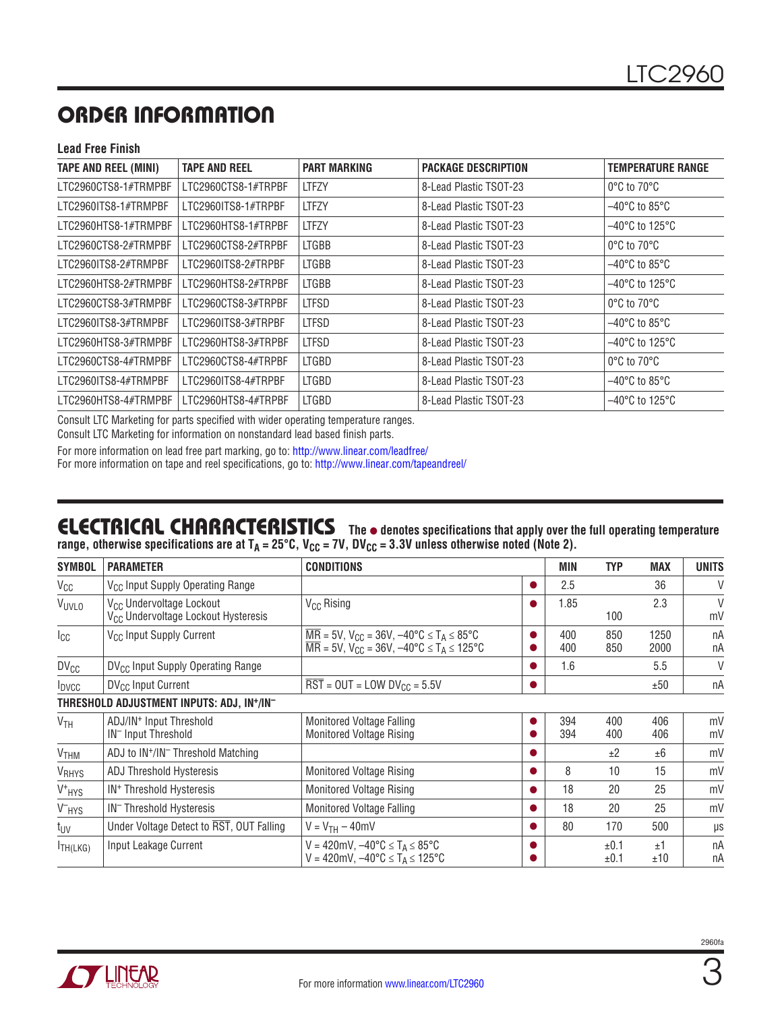# ORDER INFORMATION

#### **Lead Free Finish**

| <b>TAPE AND REEL (MINI)</b> | <b>TAPE AND REEL</b> | <b>PART MARKING</b> | <b>PACKAGE DESCRIPTION</b> | <b>TEMPERATURE RANGE</b>            |
|-----------------------------|----------------------|---------------------|----------------------------|-------------------------------------|
| LTC2960CTS8-1#TRMPBF        | LTC2960CTS8-1#TRPBF  | <b>LTFZY</b>        | 8-Lead Plastic TSOT-23     | $0^{\circ}$ C to $70^{\circ}$ C     |
| LTC2960ITS8-1#TRMPBF        | LTC2960ITS8-1#TRPBF  | <b>LTFZY</b>        | 8-Lead Plastic TSOT-23     | $-40^{\circ}$ C to 85 $^{\circ}$ C  |
| LTC2960HTS8-1#TRMPBF        | LTC2960HTS8-1#TRPBF  | <b>LTFZY</b>        | 8-Lead Plastic TSOT-23     | $-40^{\circ}$ C to 125 $^{\circ}$ C |
| LTC2960CTS8-2#TRMPBF        | LTC2960CTS8-2#TRPBF  | <b>LTGBB</b>        | 8-Lead Plastic TSOT-23     | $0^{\circ}$ C to $70^{\circ}$ C     |
| LTC2960ITS8-2#TRMPBF        | LTC2960ITS8-2#TRPBF  | <b>LTGBB</b>        | 8-Lead Plastic TSOT-23     | $-40^{\circ}$ C to 85°C             |
| LTC2960HTS8-2#TRMPBF        | LTC2960HTS8-2#TRPBF  | <b>LTGBB</b>        | 8-Lead Plastic TSOT-23     | –40°C to 125°C                      |
| LTC2960CTS8-3#TRMPBF        | LTC2960CTS8-3#TRPBF  | LTFSD               | 8-Lead Plastic TSOT-23     | $0^{\circ}$ C to $70^{\circ}$ C     |
| LTC2960ITS8-3#TRMPBF        | LTC2960ITS8-3#TRPBF  | <b>LTFSD</b>        | 8-Lead Plastic TSOT-23     | $-40^{\circ}$ C to 85 $^{\circ}$ C  |
| LTC2960HTS8-3#TRMPBF        | LTC2960HTS8-3#TRPBF  | <b>LTFSD</b>        | 8-Lead Plastic TSOT-23     | $-40^{\circ}$ C to 125 $^{\circ}$ C |
| LTC2960CTS8-4#TRMPBF        | LTC2960CTS8-4#TRPBF  | <b>LTGBD</b>        | 8-Lead Plastic TSOT-23     | $0^{\circ}$ C to 70 $^{\circ}$ C    |
| LTC2960ITS8-4#TRMPBF        | LTC2960ITS8-4#TRPBF  | LTGBD               | 8-Lead Plastic TSOT-23     | $-40^{\circ}$ C to 85 $^{\circ}$ C  |
| LTC2960HTS8-4#TRMPBF        | LTC2960HTS8-4#TRPBF  | LTGBD               | 8-Lead Plastic TSOT-23     | $-40^{\circ}$ C to 125 $^{\circ}$ C |

Consult LTC Marketing for parts specified with wider operating temperature ranges.

Consult LTC Marketing for information on nonstandard lead based finish parts.

For more information on lead free part marking, go to: http://www.linear.com/leadfree/ For more information on tape and reel specifications, go to: http://www.linear.com/tapeandreel/

#### ELECTRICAL CHARACTERISTICS The  $\bullet$  denotes specifications that apply over the full operating temperature range, otherwise specifications are at T<sub>A</sub> = 25°C, V<sub>CC</sub> = 7V, DV<sub>CC</sub> = 3.3V unless otherwise noted (Note 2).

| <b>SYMBOL</b>           | <b>PARAMETER</b>                                                                        | <b>CONDITIONS</b>                                                                                                                                     |           | MIN        | <b>TYP</b>   | <b>MAX</b>   | <b>UNITS</b>       |
|-------------------------|-----------------------------------------------------------------------------------------|-------------------------------------------------------------------------------------------------------------------------------------------------------|-----------|------------|--------------|--------------|--------------------|
| V <sub>CC</sub>         | V <sub>CC</sub> Input Supply Operating Range                                            |                                                                                                                                                       |           | 2.5        |              | 36           | V                  |
| VUVLO                   | V <sub>CC</sub> Undervoltage Lockout<br>V <sub>CC</sub> Undervoltage Lockout Hysteresis | V <sub>CC</sub> Rising                                                                                                                                |           | 1.85       | 100          | 2.3          | $\mathsf{V}$<br>mV |
| Icc                     | V <sub>CC</sub> Input Supply Current                                                    | $\overline{MR}$ = 5V, V <sub>CC</sub> = 36V, -40°C $\leq T_A \leq 85$ °C<br>$\overline{MR}$ = 5V, V <sub>CC</sub> = 36V, -40°C $\leq T_A \leq 125$ °C |           | 400<br>400 | 850<br>850   | 1250<br>2000 | nA<br>nA           |
| $DV_{CC}$               | DV <sub>CC</sub> Input Supply Operating Range                                           |                                                                                                                                                       |           | 1.6        |              | 5.5          | V                  |
| <b>I</b> DVCC           | $DV_{CC}$ Input Current                                                                 | $\overline{\text{RST}}$ = OUT = LOW DV <sub>CC</sub> = 5.5V                                                                                           |           |            |              | ±50          | nA                 |
|                         | THRESHOLD ADJUSTMENT INPUTS: ADJ, IN <sup>+</sup> /IN <sup>-</sup>                      |                                                                                                                                                       |           |            |              |              |                    |
| V <sub>TH</sub>         | ADJ/IN <sup>+</sup> Input Threshold<br>IN <sup>-</sup> Input Threshold                  | <b>Monitored Voltage Falling</b><br><b>Monitored Voltage Rising</b>                                                                                   |           | 394<br>394 | 400<br>400   | 406<br>406   | mV<br>mV           |
| $V$ THM                 | ADJ to IN <sup>+</sup> /IN <sup>-</sup> Threshold Matching                              |                                                                                                                                                       | $\bullet$ |            | ±2           | ±6           | mV                 |
| <b>V<sub>RHYS</sub></b> | <b>ADJ Threshold Hysteresis</b>                                                         | <b>Monitored Voltage Rising</b>                                                                                                                       |           | 8          | 10           | 15           | mV                 |
| $V^+$ HYS               | IN <sup>+</sup> Threshold Hysteresis                                                    | <b>Monitored Voltage Rising</b>                                                                                                                       |           | 18         | 20           | 25           | mV                 |
| V-HYS                   | IN <sup>-</sup> Threshold Hysteresis                                                    | <b>Monitored Voltage Falling</b>                                                                                                                      |           | 18         | 20           | 25           | mV                 |
| t <sub>UV</sub>         | Under Voltage Detect to RST, OUT Falling                                                | $V = V_{TH} - 40$ mV                                                                                                                                  |           | 80         | 170          | 500          | μs                 |
| H(H(LKG))               | Input Leakage Current                                                                   | $V = 420$ mV, $-40$ °C $\le T_A \le 85$ °C<br>$V = 420$ mV, $-40^{\circ}C \le T_A \le 125^{\circ}C$                                                   |           |            | ±0.1<br>±0.1 | ±1<br>±10    | nA<br>nA           |

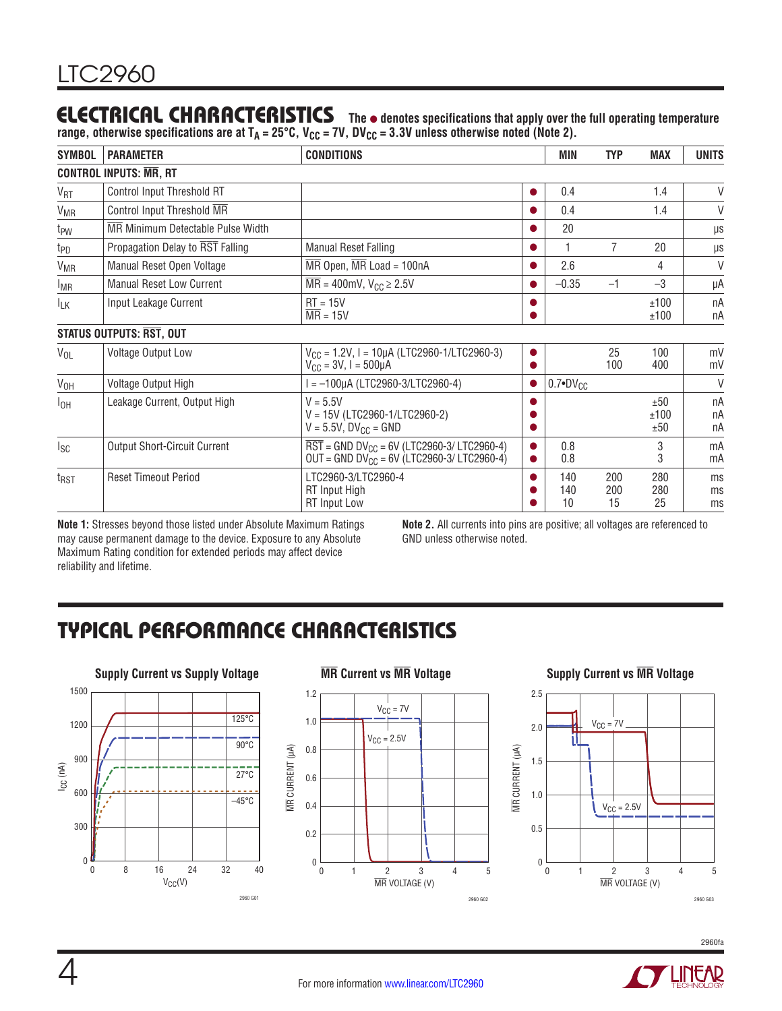## **ELECTRICAL CHARACTERISTICS** The  $\bullet$  denotes specifications that apply over the full operating temperature

range, otherwise specifications are at T<sub>A</sub> = 25°C, V<sub>CC</sub> = 7V, DV<sub>CC</sub> = 3.3V unless otherwise noted (Note 2).

| <b>SYMBOL</b>                 | <b>PARAMETER</b>                    | <b>CONDITIONS</b>                                                                                                            |           | MIN                 | <b>TYP</b>       | <b>MAX</b>         | <b>UNITS</b>   |  |
|-------------------------------|-------------------------------------|------------------------------------------------------------------------------------------------------------------------------|-----------|---------------------|------------------|--------------------|----------------|--|
| <b>CONTROL INPUTS: MR, RT</b> |                                     |                                                                                                                              |           |                     |                  |                    |                |  |
| $V_{\text{RT}}$               | Control Input Threshold RT          |                                                                                                                              |           | 0.4                 |                  | 1.4                | V              |  |
| <b>V<sub>MR</sub></b>         | Control Input Threshold MR          |                                                                                                                              |           | 0.4                 |                  | 1.4                | $\vee$         |  |
| t <sub>PW</sub>               | MR Minimum Detectable Pulse Width   |                                                                                                                              |           | 20                  |                  |                    | $\mu s$        |  |
| t <sub>PD</sub>               | Propagation Delay to RST Falling    | <b>Manual Reset Falling</b>                                                                                                  |           |                     | $\overline{7}$   | 20                 | μs             |  |
| <b>V<sub>MR</sub></b>         | Manual Reset Open Voltage           | $\overline{\text{MR}}$ Open, $\overline{\text{MR}}$ Load = 100nA                                                             | $\bullet$ | 2.6                 |                  | 4                  | V              |  |
| <b>IMR</b>                    | <b>Manual Reset Low Current</b>     | $\overline{\text{MR}}$ = 400mV, $V_{\text{CC}} \geq 2.5V$                                                                    |           | $-0.35$             | $-1$             | $-3$               | μA             |  |
| $I_{LK}$                      | Input Leakage Current               | $RT = 15V$<br>$\overline{\text{MR}} = 15V$                                                                                   |           |                     |                  | ±100<br>±100       | nA<br>nA       |  |
|                               | STATUS OUTPUTS: RST, OUT            |                                                                                                                              |           |                     |                  |                    |                |  |
| $V_{OL}$                      | Voltage Output Low                  | $V_{CC}$ = 1.2V, I = 10µA (LTC2960-1/LTC2960-3)<br>$V_{\text{CC}} = 3V, I = 500 \mu A$                                       | $\bullet$ |                     | 25<br>100        | 100<br>400         | mV<br>mV       |  |
| $V_{OH}$                      | Voltage Output High                 | l = -100µA (LTC2960-3/LTC2960-4)                                                                                             | $\bullet$ | $0.7 \cdot DV_{CC}$ |                  |                    | V              |  |
| $I_{OH}$                      | Leakage Current, Output High        | $V = 5.5V$<br>$V = 15V (LTC2960-1/LTC2960-2)$<br>$V = 5.5V$ , $DV_{CC} = GND$                                                |           |                     |                  | ±50<br>±100<br>±50 | nA<br>nA<br>nA |  |
| Isc                           | <b>Output Short-Circuit Current</b> | $\overline{\text{RST}}$ = GND DV <sub>CC</sub> = 6V (LTC2960-3/ LTC2960-4)<br>$OUT = GND DV_{CC} = 6V (LTC2960-3/LTC2960-4)$ | $\bullet$ | 0.8<br>0.8          |                  | 3<br>3             | mA<br>mA       |  |
| t <sub>RST</sub>              | <b>Reset Timeout Period</b>         | LTC2960-3/LTC2960-4<br><b>RT</b> Input High<br><b>RT</b> Input Low                                                           | 0         | 140<br>140<br>10    | 200<br>200<br>15 | 280<br>280<br>25   | ms<br>ms<br>ms |  |

**Note 1:** Stresses beyond those listed under Absolute Maximum Ratings may cause permanent damage to the device. Exposure to any Absolute Maximum Rating condition for extended periods may affect device reliability and lifetime.

**Note 2.** All currents into pins are positive; all voltages are referenced to GND unless otherwise noted.

# Typical Performance Characteristics









2960fa **O LINEAR**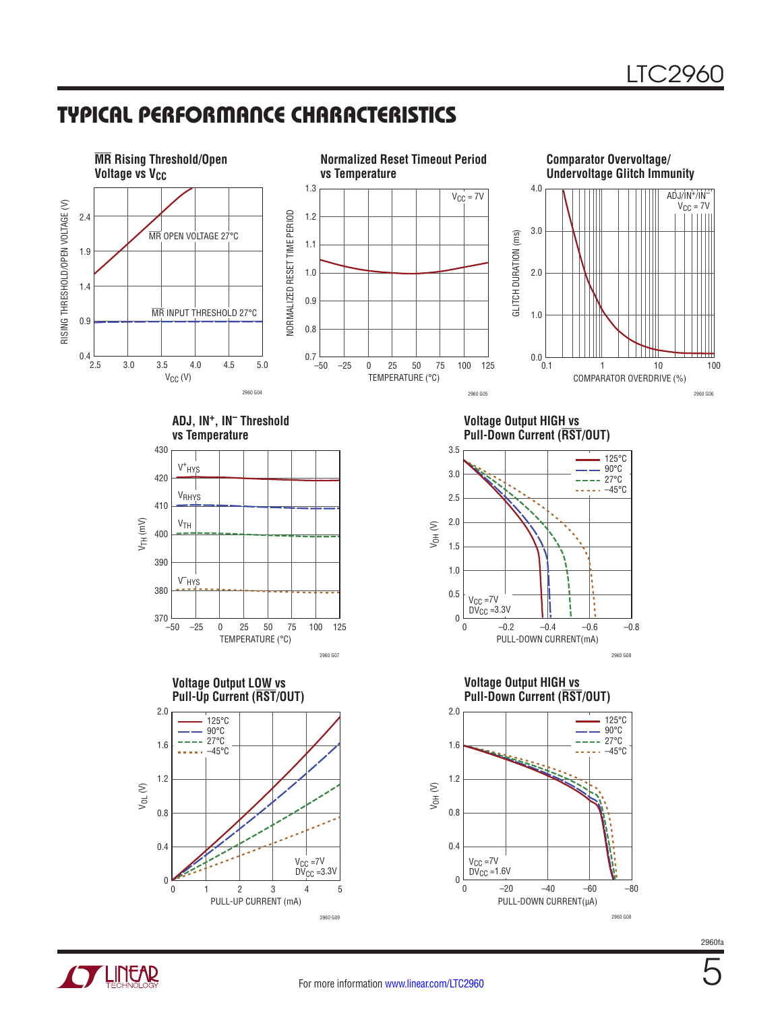## Typical Performance Characteristics



2960fa

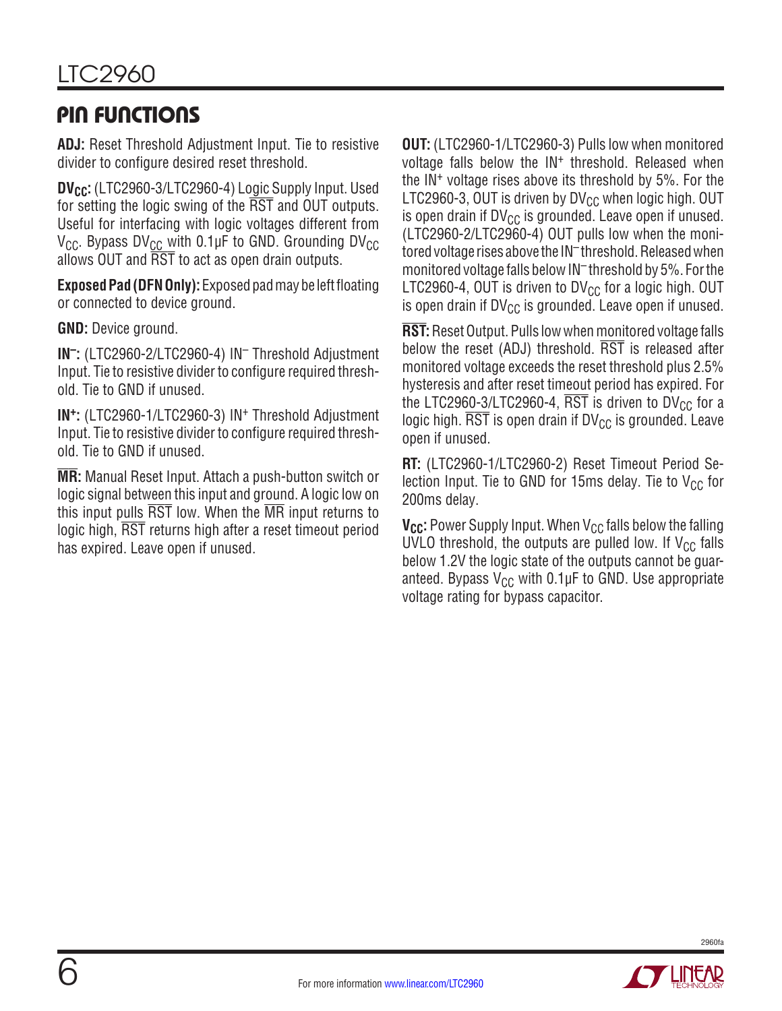## Pin Functions

**ADJ:** Reset Threshold Adjustment Input. Tie to resistive divider to configure desired reset threshold.

**DV<sub>CC</sub>:** (LTC2960-3/LTC2960-4) Logic Supply Input. Used for setting the logic swing of the RST and OUT outputs. Useful for interfacing with logic voltages different from  $V_{\text{CC}}$ . Bypass DV<sub>CC</sub> with 0.1µF to GND. Grounding DV<sub>CC</sub> allows OUT and RST to act as open drain outputs.

**Exposed Pad (DFN Only):** Exposed pad may be left floating or connected to device ground.

**GND:** Device ground.

**IN–:** (LTC2960-2/LTC2960-4) IN– Threshold Adjustment Input. Tie to resistive divider to configure required threshold. Tie to GND if unused.

**IN+:** (LTC2960-1/LTC2960-3) IN+ Threshold Adjustment Input. Tie to resistive divider to configure required threshold. Tie to GND if unused.

**MR:** Manual Reset Input. Attach a push-button switch or logic signal between this input and ground. A logic low on this input pulls RST low. When the MR input returns to logic high, RST returns high after a reset timeout period has expired. Leave open if unused.

**OUT:** (LTC2960-1/LTC2960-3) Pulls low when monitored voltage falls below the IN<sup>+</sup> threshold. Released when the IN+ voltage rises above its threshold by 5%. For the LTC2960-3, OUT is driven by DV $_{\rm CC}$  when logic high. OUT is open drain if  $DV_{CC}$  is grounded. Leave open if unused. (LTC2960-2/LTC2960-4) OUT pulls low when the monitored voltage rises above the IN<sup>-</sup>threshold. Released when monitored voltage falls below IN– threshold by 5%. For the LTC2960-4, OUT is driven to  $DV_{CC}$  for a logic high. OUT is open drain if  $DV_{CC}$  is grounded. Leave open if unused.

**RST:** Reset Output. Pulls low when monitored voltage falls below the reset (ADJ) threshold. RST is released after monitored voltage exceeds the reset threshold plus 2.5% hysteresis and after reset timeout period has expired. For the LTC2960-3/LTC2960-4,  $\overline{\text{RST}}$  is driven to DV<sub>CC</sub> for a logic high.  $\overline{\text{RST}}$  is open drain if DV<sub>CC</sub> is grounded. Leave open if unused.

**RT:** (LTC2960-1/LTC2960-2) Reset Timeout Period Selection Input. Tie to GND for 15ms delay. Tie to  $V_{CC}$  for 200ms delay.

**V<sub>CC</sub>:** Power Supply Input. When V<sub>CC</sub> falls below the falling UVLO threshold, the outputs are pulled low. If  $V_{CC}$  falls below 1.2V the logic state of the outputs cannot be guaranteed. Bypass  $V_{CC}$  with 0.1µF to GND. Use appropriate voltage rating for bypass capacitor.

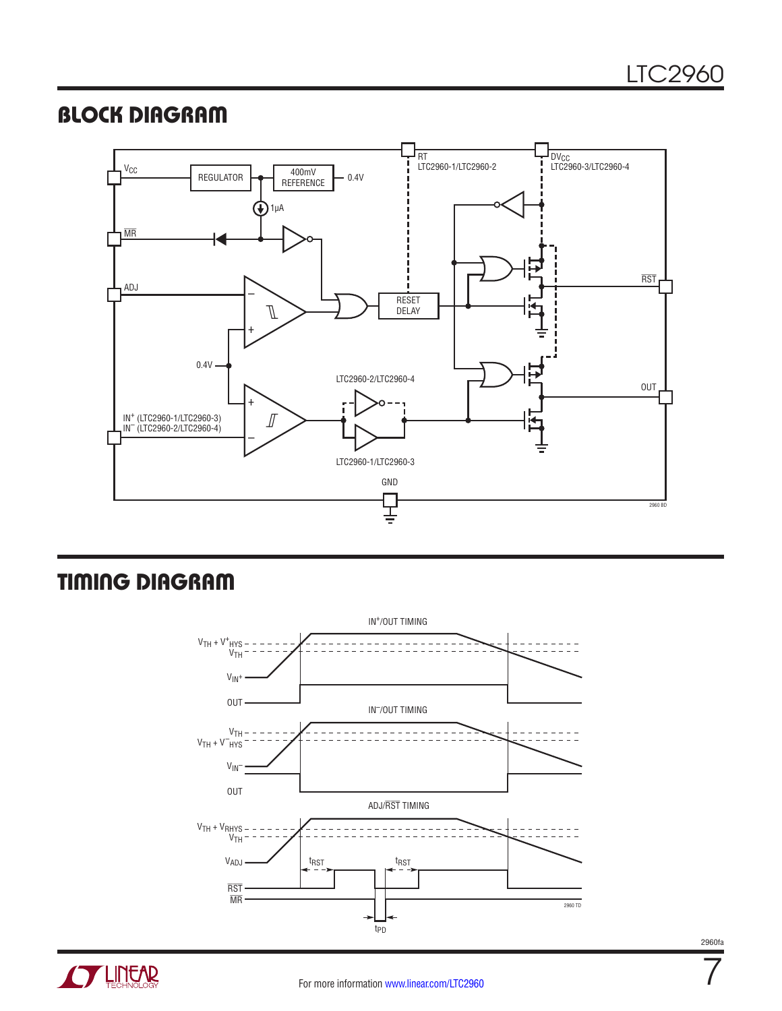## Block Diagram



# Timing Diagram



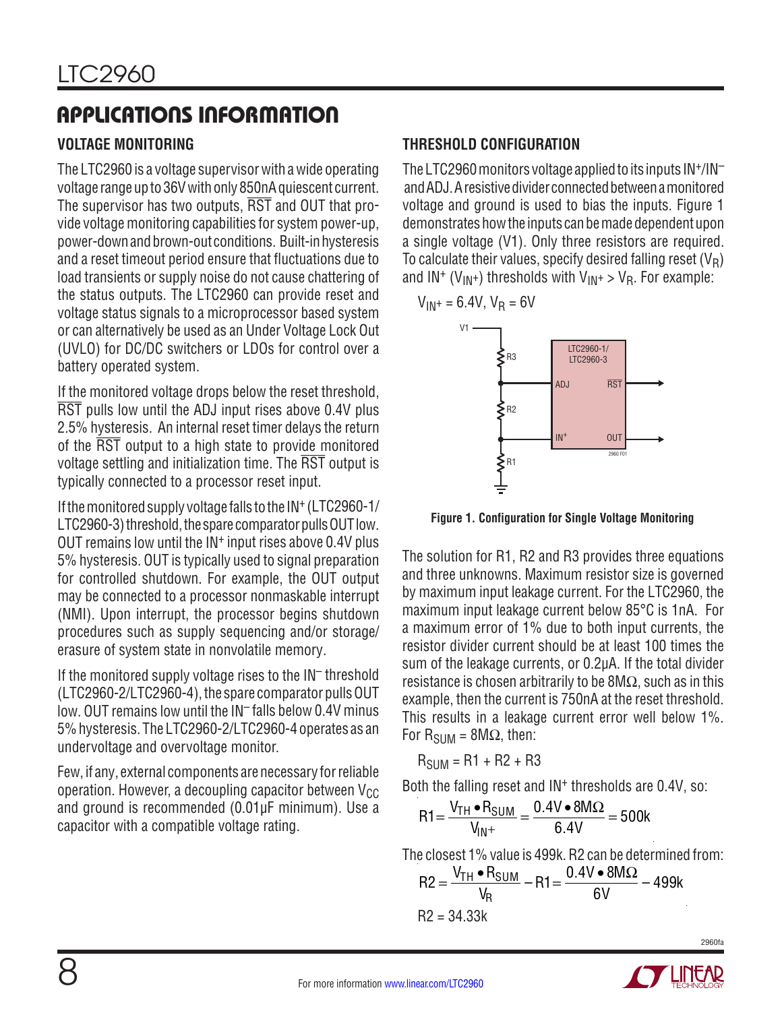#### **VOLTAGE MONITORING**

The LTC2960 is a voltage supervisor with a wide operating voltage range up to 36V with only 850nA quiescent current. The supervisor has two outputs, RST and OUT that provide voltage monitoring capabilities for system power-up, power-downandbrown-out conditions. Built-inhysteresis and a reset timeout period ensure that fluctuations due to load transients or supply noise do not cause chattering of the status outputs. The LTC2960 can provide reset and voltage status signals to a microprocessor based system or can alternatively be used as an Under Voltage Lock Out (UVLO) for DC/DC switchers or LDOs for control over a battery operated system.

If the monitored voltage drops below the reset threshold, RST pulls low until the ADJ input rises above 0.4V plus 2.5% hysteresis. An internal reset timer delays the return of the RST output to a high state to provide monitored voltage settling and initialization time. The RST output is typically connected to a processor reset input.

If the monitored supply voltage falls to the IN+ (LTC2960-1/ LTC2960-3) threshold, the spare comparator pulls OUT low. OUT remains low until the IN<sup>+</sup> input rises above 0.4V plus 5% hysteresis. OUT is typically used to signal preparation for controlled shutdown. For example, the OUT output may be connected to a processor nonmaskable interrupt (NMI). Upon interrupt, the processor begins shutdown procedures such as supply sequencing and/or storage/ erasure of system state in nonvolatile memory.

If the monitored supply voltage rises to the IN– threshold (LTC2960-2/LTC2960-4), the spare comparator pulls OUT low. OUT remains low until the IN– falls below 0.4V minus 5% hysteresis. The LTC2960-2/LTC2960-4 operates as an undervoltage and overvoltage monitor.

Few, if any, external components are necessary for reliable operation. However, a decoupling capacitor between  $V_{CC}$ and ground is recommended (0.01µF minimum). Use a capacitor with a compatible voltage rating.

### **THRESHOLD CONFIGURATION**

The LTC2960 monitors voltage applied to its inputs  $IN^+/IN^$ and ADJ. A resistive divider connected between a monitored voltage and ground is used to bias the inputs. Figure 1 demonstrates how the inputs can be made dependent upon a single voltage (V1). Only three resistors are required. To calculate their values, specify desired falling reset  $(V_R)$ and  $IN^+(V_{IN^+})$  thresholds with  $V_{IN^+} > V_R$ . For example:

$$
V_{IN^+} = 6.4V, V_R = 6V
$$



**Figure 1. Configuration for Single Voltage Monitoring**

The solution for R1, R2 and R3 provides three equations and three unknowns. Maximum resistor size is governed by maximum input leakage current. For the LTC2960, the maximum input leakage current below 85°C is 1nA. For a maximum error of 1% due to both input currents, the resistor divider current should be at least 100 times the sum of the leakage currents, or 0.2µA. If the total divider resistance is chosen arbitrarily to be  $8M\Omega$ , such as in this example, then the current is 750nA at the reset threshold. This results in a leakage current error well below 1%. For  $R_{SUM} = 8M\Omega$ , then:

 $R_{SIM} = R1 + R2 + R3$ 

Both the falling reset and  $IN<sup>+</sup>$  thresholds are 0.4V, so:

$$
R1 = \frac{V_{TH} \cdot R_{SUM}}{V_{IN^+}} = \frac{0.4V \cdot 8M\Omega}{6.4V} = 500k
$$

The closest 1% value is 499k. R2 can be determined from:

$$
R2 = \frac{V_{TH} \cdot R_{SUM}}{V_R} - R1 = \frac{0.4V \cdot 8M\Omega}{6V} - 499k
$$
  
R2 = 34.33k

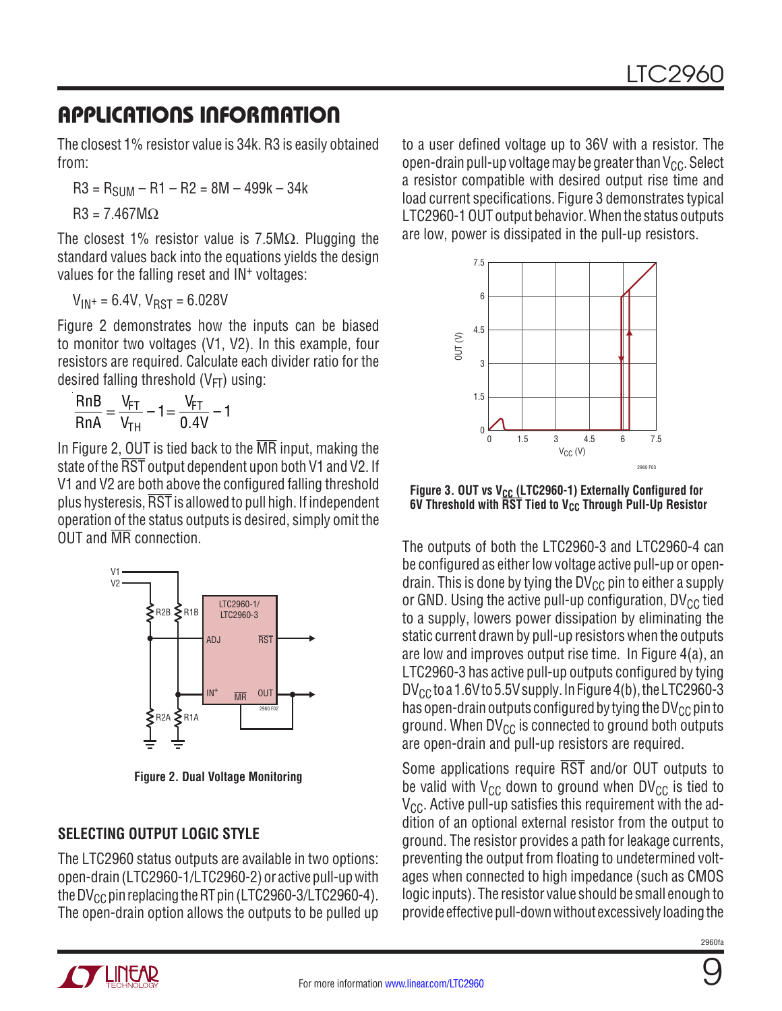The closest 1% resistor value is 34k. R3 is easily obtained from:

 $R3 = R<sub>SIIM</sub> - R1 - R2 = 8M - 499k - 34k$ 

 $R3 = 7.467M\Omega$ 

The closest 1% resistor value is  $7.5M\Omega$ . Plugging the standard values back into the equations yields the design values for the falling reset and IN<sup>+</sup> voltages:

 $V_{IN}$  = 6.4V,  $V_{RST}$  = 6.028V

Figure 2 demonstrates how the inputs can be biased to monitor two voltages (V1, V2). In this example, four resistors are required. Calculate each divider ratio for the desired falling threshold  $(V_{FT})$  using:

$$
\frac{RnB}{RnA} = \frac{V_{FT}}{V_{TH}} - 1 = \frac{V_{FT}}{0.4V} - 1
$$

In Figure 2, OUT is tied back to the  $\overline{MR}$  input, making the state of the  $\overline{\text{RST}}$  output dependent upon both V1 and V2. If V1 and V2 are both above the configured falling threshold plus hysteresis, RST is allowed to pull high. If independent operation of the status outputs is desired, simply omit the OUT and MR connection.



**Figure 2. Dual Voltage Monitoring**

### **SELECTING OUTPUT LOGIC STYLE**

The LTC2960 status outputs are available in two options: open-drain (LTC2960-1/LTC2960-2) or active pull-up with the DV<sub>CC</sub> pin replacing the RT pin (LTC2960-3/LTC2960-4). The open-drain option allows the outputs to be pulled up to a user defined voltage up to 36V with a resistor. The open-drain pull-up voltage may be greater than  $V_{CC}$ . Select a resistor compatible with desired output rise time and load current specifications. Figure 3 demonstrates typical LTC2960-1 OUT output behavior. When the status outputs are low, power is dissipated in the pull-up resistors.



Figure 3. OUT vs V<sub>CC</sub> (LTC2960-1) Externally Configured for **6V Threshold with RST Tied to VCC Through Pull-Up Resistor**

The outputs of both the LTC2960-3 and LTC2960-4 can be configured as either low voltage active pull-up or opendrain. This is done by tying the  $DV_{CC}$  pin to either a supply or GND. Using the active pull-up configuration,  $DV_{CC}$  tied to a supply, lowers power dissipation by eliminating the static current drawn by pull-up resistors when the outputs are low and improves output rise time. In Figure 4(a), an LTC2960-3 has active pull-up outputs configured by tying  $DV_{CC}$  to a 1.6V to 5.5V supply. In Figure 4(b), the LTC2960-3 has open-drain outputs configured by tying the DV $_{CC}$  pin to ground. When  $DV_{CC}$  is connected to ground both outputs are open-drain and pull-up resistors are required.

Some applications require RST and/or OUT outputs to be valid with  $V_{CC}$  down to ground when DV $_{CC}$  is tied to  $V_{\text{CC}}$ . Active pull-up satisfies this requirement with the addition of an optional external resistor from the output to ground. The resistor provides a path for leakage currents, preventing the output from floating to undetermined voltages when connected to high impedance (such as CMOS logic inputs). The resistor value should be small enough to provide effective pull-down without excessively loading the



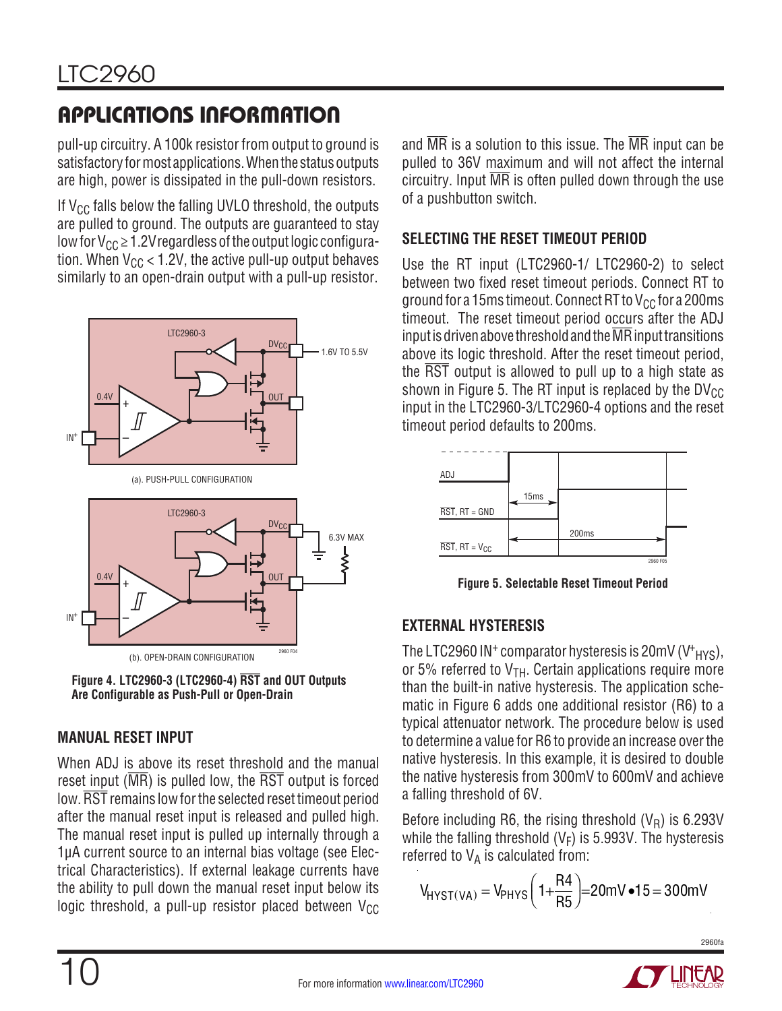pull-up circuitry. A 100k resistor from output to ground is satisfactory for most applications. When the status outputs are high, power is dissipated in the pull-down resistors.

If  $V_{CC}$  falls below the falling UVLO threshold, the outputs are pulled to ground. The outputs are guaranteed to stay low for  $V_{CC} \ge 1.2V$  regardless of the output logic configuration. When  $V_{CC}$  < 1.2V, the active pull-up output behaves similarly to an open-drain output with a pull-up resistor.



**Figure 4. LTC2960-3 (LTC2960-4) RST and OUT Outputs Are Configurable as Push-Pull or Open-Drain**

#### **MANUAL RESET INPUT**

When ADJ is above its reset threshold and the manual reset input ( $\overline{MR}$ ) is pulled low, the  $\overline{RST}$  output is forced low. RST remains low for the selected reset timeout period after the manual reset input is released and pulled high. The manual reset input is pulled up internally through a 1µA current source to an internal bias voltage (see Electrical Characteristics). If external leakage currents have the ability to pull down the manual reset input below its logic threshold, a pull-up resistor placed between  $V_{CC}$  and  $\overline{\text{MR}}$  is a solution to this issue. The  $\overline{\text{MR}}$  input can be pulled to 36V maximum and will not affect the internal circuitry. Input  $\overline{MR}$  is often pulled down through the use of a pushbutton switch.

### **SELECTING THE RESET TIMEOUT PERIOD**

Use the RT input (LTC2960-1/ LTC2960-2) to select between two fixed reset timeout periods. Connect RT to ground for a 15ms timeout. Connect RT to  $V_{CC}$  for a 200ms timeout. The reset timeout period occurs after the ADJ input is driven above threshold and the  $\overline{\text{MR}}$  input transitions above its logic threshold. After the reset timeout period, the RST output is allowed to pull up to a high state as shown in Figure 5. The RT input is replaced by the  $DV_{CC}$ input in the LTC2960-3/LTC2960-4 options and the reset timeout period defaults to 200ms.



**Figure 5. Selectable Reset Timeout Period**

#### **EXTERNAL HYSTERESIS**

The LTC2960 IN<sup>+</sup> comparator hysteresis is 20mV (V<sup>+</sup><sub>HYS</sub>), or 5% referred to  $V<sub>TH</sub>$ . Certain applications require more than the built-in native hysteresis. The application schematic in Figure 6 adds one additional resistor (R6) to a typical attenuator network. The procedure below is used to determine a value for R6 to provide an increase over the native hysteresis. In this example, it is desired to double the native hysteresis from 300mV to 600mV and achieve a falling threshold of 6V.

Before including R6, the rising threshold  $(V_R)$  is 6.293V while the falling threshold ( $V_F$ ) is 5.993V. The hysteresis referred to  $V_A$  is calculated from:

$$
V_{H YST(VA)} = V_{PHYS} \left( 1 + \frac{R4}{R5} \right) = 20 \text{mV} \cdot 15 = 300 \text{mV}
$$

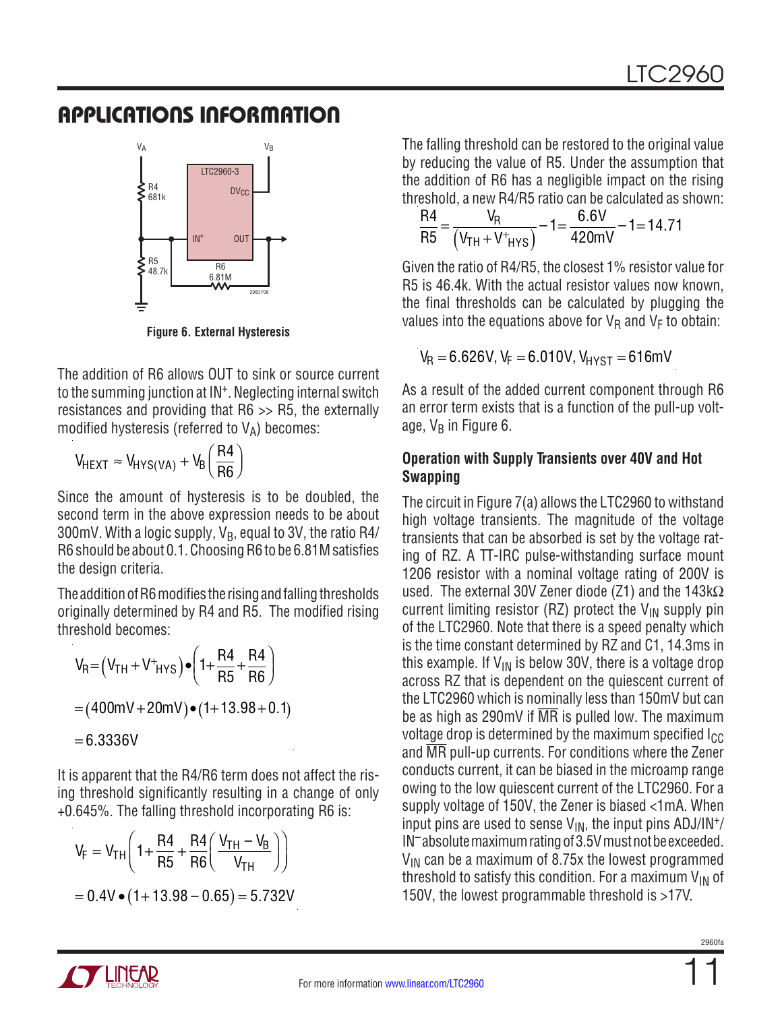

**Figure 6. External Hysteresis**

The addition of R6 allows OUT to sink or source current to the summing junction at IN+. Neglecting internal switch resistances and providing that R6 >> R5, the externally modified hysteresis (referred to  $V_A$ ) becomes:

$$
V_{HEXT} \approx V_{HYS(VA)} + V_B \left(\frac{R4}{R6}\right)
$$

Since the amount of hysteresis is to be doubled, the second term in the above expression needs to be about 300mV. With a logic supply,  $V_B$ , equal to 3V, the ratio R4/ R6 should be about 0.1. Choosing R6 to be 6.81M satisfies the design criteria.

The addition of R6 modifies the rising and falling thresholds originally determined by R4 and R5. The modified rising threshold becomes:

$$
V_{R} = (V_{TH} + V^{+}_{HYS}) \cdot (1 + \frac{R4}{R5} + \frac{R4}{R6})
$$
  
= (400mV + 20mV) \cdot (1 + 13.98 + 0.1)  
= 6.3336V

It is apparent that the R4/R6 term does not affect the rising threshold significantly resulting in a change of only +0.645%. The falling threshold incorporating R6 is:

$$
V_F = V_{TH} \left( 1 + \frac{R4}{R5} + \frac{R4}{R6} \left( \frac{V_{TH} - V_B}{V_{TH}} \right) \right)
$$
  
= 0.4V \bullet (1 + 13.98 - 0.65) = 5.732V

The falling threshold can be restored to the original value by reducing the value of R5. Under the assumption that the addition of R6 has a negligible impact on the rising threshold, a new R4/R5 ratio can be calculated as shown:

$$
\frac{\text{R4}}{\text{R5}} = \frac{\text{V}_{\text{R}}}{\left(\text{V}_{\text{TH}} + \text{V}_{\text{HYS}}\right)} - 1 = \frac{6.6 \text{V}}{420 \text{mV}} - 1 = 14.71
$$

Given the ratio of R4/R5, the closest 1% resistor value for R5 is 46.4k. With the actual resistor values now known, the final thresholds can be calculated by plugging the values into the equations above for  $V_R$  and  $V_F$  to obtain:

$$
V_R = 6.626V, V_F = 6.010V, V_{H YST} = 616mV
$$

As a result of the added current component through R6 an error term exists that is a function of the pull-up voltage,  $V_B$  in Figure 6.

#### **Operation with Supply Transients over 40V and Hot Swapping**

The circuit in Figure 7(a) allows the LTC2960 to withstand high voltage transients. The magnitude of the voltage transients that can be absorbed is set by the voltage rating of RZ. A TT-IRC pulse-withstanding surface mount 1206 resistor with a nominal voltage rating of 200V is used. The external 30V Zener diode (Z1) and the 143k $\Omega$ current limiting resistor (RZ) protect the  $V_{IN}$  supply pin of the LTC2960. Note that there is a speed penalty which is the time constant determined by RZ and C1, 14.3ms in this example. If  $V_{IN}$  is below 30V, there is a voltage drop across RZ that is dependent on the quiescent current of the LTC2960 which is nominally less than 150mV but can be as high as 290mV if  $\overline{MR}$  is pulled low. The maximum voltage drop is determined by the maximum specified  $I_{CC}$ and MR pull-up currents. For conditions where the Zener conducts current, it can be biased in the microamp range owing to the low quiescent current of the LTC2960. For a supply voltage of 150V, the Zener is biased <1mA. When input pins are used to sense  $V_{IN}$ , the input pins ADJ/IN<sup>+</sup>/ IN<sup>-</sup>absolute maximum rating of 3.5V must not be exceeded.  $V_{IN}$  can be a maximum of 8.75x the lowest programmed threshold to satisfy this condition. For a maximum  $V_{IN}$  of 150V, the lowest programmable threshold is >17V.

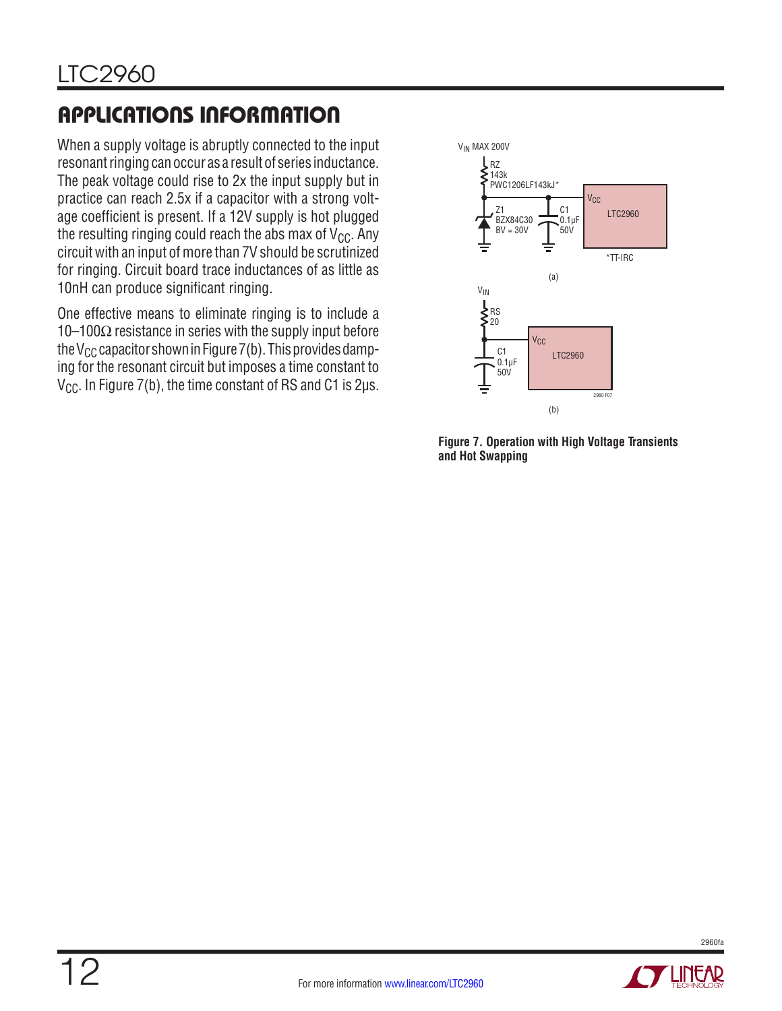When a supply voltage is abruptly connected to the input resonant ringing can occur as a result of series inductance. The peak voltage could rise to 2x the input supply but in practice can reach 2.5x if a capacitor with a strong voltage coefficient is present. If a 12V supply is hot plugged the resulting ringing could reach the abs max of  $V_{CC}$ . Any circuit with an input of more than 7V should be scrutinized for ringing. Circuit board trace inductances of as little as 10nH can produce significant ringing.

One effective means to eliminate ringing is to include a 10–100 $\Omega$  resistance in series with the supply input before the V<sub>CC</sub> capacitor shown in Figure 7(b). This provides damping for the resonant circuit but imposes a time constant to  $V_{\text{CC}}$ . In Figure 7(b), the time constant of RS and C1 is 2 $\mu$ s.



**Figure 7. Operation with High Voltage Transients and Hot Swapping**



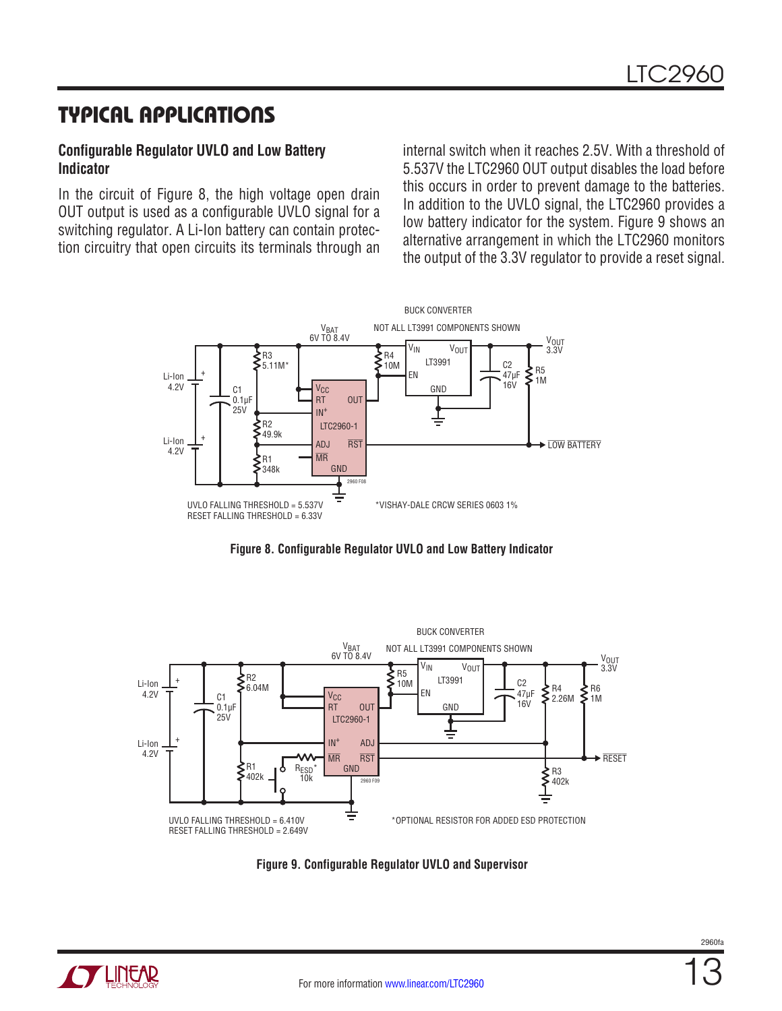## Typical Applications

#### **Configurable Regulator UVLO and Low Battery Indicator**

In the circuit of Figure 8, the high voltage open drain OUT output is used as a configurable UVLO signal for a switching regulator. A Li-Ion battery can contain protection circuitry that open circuits its terminals through an

internal switch when it reaches 2.5V. With a threshold of 5.537V the LTC2960 OUT output disables the load before this occurs in order to prevent damage to the batteries. In addition to the UVLO signal, the LTC2960 provides a low battery indicator for the system. Figure 9 shows an alternative arrangement in which the LTC2960 monitors the output of the 3.3V regulator to provide a reset signal.









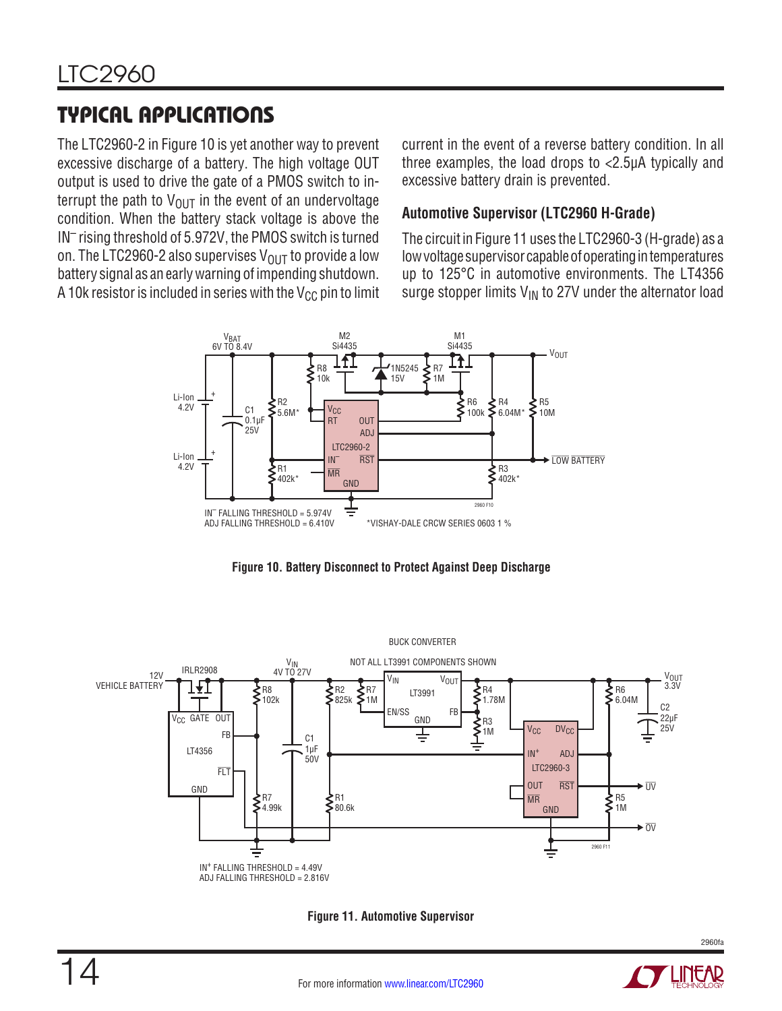# Typical Applications

The LTC2960-2 in Figure 10 is yet another way to prevent excessive discharge of a battery. The high voltage OUT output is used to drive the gate of a PMOS switch to interrupt the path to  $V_{\text{OUT}}$  in the event of an undervoltage condition. When the battery stack voltage is above the IN– rising threshold of 5.972V, the PMOS switch is turned on. The LTC2960-2 also supervises  $V_{OUT}$  to provide a low battery signal as an early warning of impending shutdown. A 10k resistor is included in series with the  $V_{CC}$  pin to limit current in the event of a reverse battery condition. In all three examples, the load drops to <2.5µA typically and excessive battery drain is prevented.

#### **Automotive Supervisor (LTC2960 H-Grade)**

The circuit in Figure 11 uses the LTC2960-3 (H-grade) as a low voltage supervisor capable of operating in temperatures up to 125°C in automotive environments. The LT4356 surge stopper limits  $V_{IN}$  to 27V under the alternator load







**Figure 11. Automotive Supervisor**

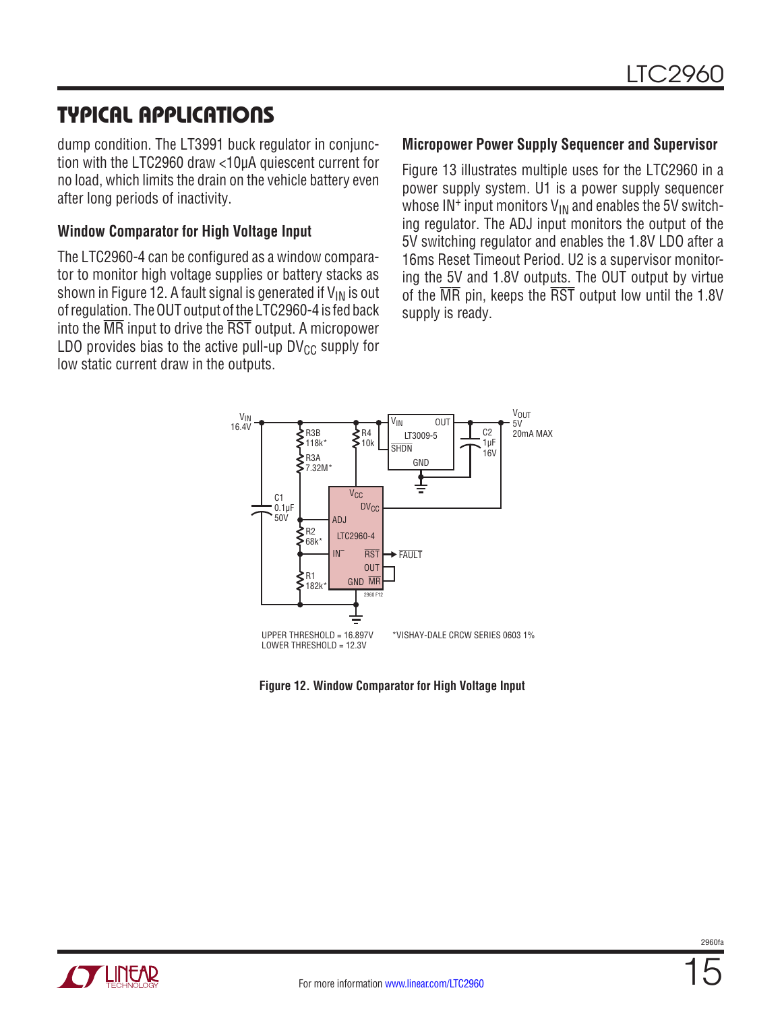## Typical Applications

dump condition. The LT3991 buck regulator in conjunction with the LTC2960 draw <10µA quiescent current for no load, which limits the drain on the vehicle battery even after long periods of inactivity.

#### **Window Comparator for High Voltage Input**

The LTC2960-4 can be configured as a window comparator to monitor high voltage supplies or battery stacks as shown in Figure 12. A fault signal is generated if  $V_{IN}$  is out of regulation. The OUT output of the LTC2960-4 is fed back into the MR input to drive the RST output. A micropower LDO provides bias to the active pull-up  $DV_{CC}$  supply for low static current draw in the outputs.

#### **Micropower Power Supply Sequencer and Supervisor**

Figure 13 illustrates multiple uses for the LTC2960 in a power supply system. U1 is a power supply sequencer whose  $IN^+$  input monitors  $V_{IN}$  and enables the 5V switching regulator. The ADJ input monitors the output of the 5V switching regulator and enables the 1.8V LDO after a 16ms Reset Timeout Period. U2 is a supervisor monitoring the 5V and 1.8V outputs. The OUT output by virtue of the MR pin, keeps the RST output low until the 1.8V supply is ready.



**Figure 12. Window Comparator for High Voltage Input**



 $2960f$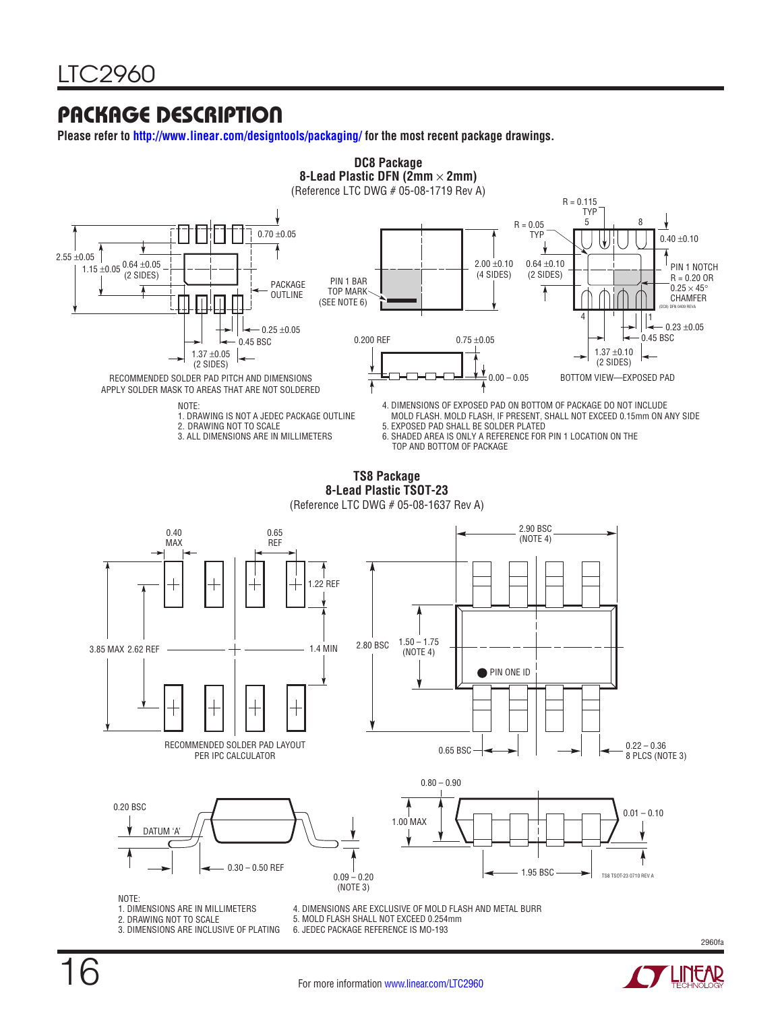## Package Description

**Please refer to http://www.linear.com/designtools/packaging/ for the most recent package drawings.**



- 
- 2. DRAWING NOT TO SCALE
- 3. DIMENSIONS ARE INCLUSIVE OF PLATING
- 
- 5. MOLD FLASH SHALL NOT EXCEED 0.254mm
- 6. JEDEC PACKAGE REFERENCE IS MO-193

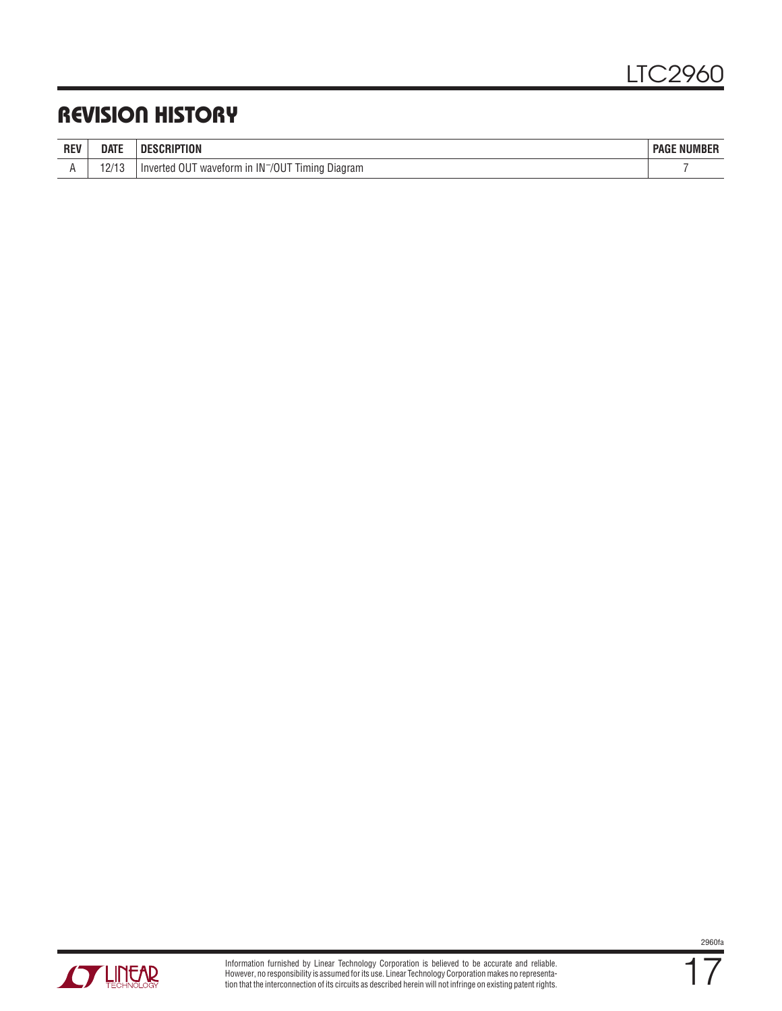## Revision History

| <b>REV</b> | <b>DATE</b>                        | ПF<br><b>WOLF</b>                                                       | <b>NUMBER</b><br><b>PAGE</b> |
|------------|------------------------------------|-------------------------------------------------------------------------|------------------------------|
|            | 1 N 1 1 N<br>$\mathcal{L}I$<br>. . | Inverted OUT<br>⊺ waveform in IN <sup>−</sup> /OUT<br>Timina<br>Diagram |                              |

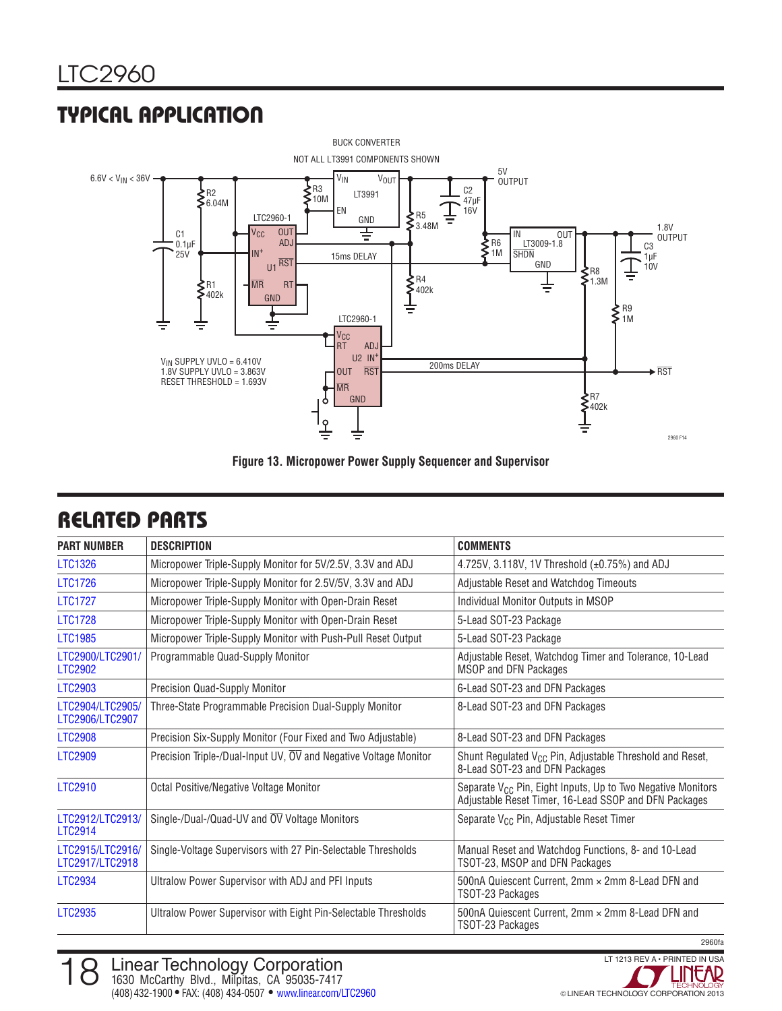# Typical Application



**Figure 13. Micropower Power Supply Sequencer and Supervisor**

| <b>PART NUMBER</b>                  | <b>DESCRIPTION</b>                                               | <b>COMMENTS</b>                                                                                                                  |
|-------------------------------------|------------------------------------------------------------------|----------------------------------------------------------------------------------------------------------------------------------|
| <b>LTC1326</b>                      | Micropower Triple-Supply Monitor for 5V/2.5V, 3.3V and ADJ       | 4.725V, 3.118V, 1V Threshold (±0.75%) and ADJ                                                                                    |
| <b>LTC1726</b>                      | Micropower Triple-Supply Monitor for 2.5V/5V, 3.3V and ADJ       | Adjustable Reset and Watchdog Timeouts                                                                                           |
| <b>LTC1727</b>                      | Micropower Triple-Supply Monitor with Open-Drain Reset           | Individual Monitor Outputs in MSOP                                                                                               |
| <b>LTC1728</b>                      | Micropower Triple-Supply Monitor with Open-Drain Reset           | 5-Lead SOT-23 Package                                                                                                            |
| <b>LTC1985</b>                      | Micropower Triple-Supply Monitor with Push-Pull Reset Output     | 5-Lead SOT-23 Package                                                                                                            |
| LTC2900/LTC2901/<br><b>LTC2902</b>  | Programmable Quad-Supply Monitor                                 | Adjustable Reset, Watchdog Timer and Tolerance, 10-Lead<br>MSOP and DFN Packages                                                 |
| <b>LTC2903</b>                      | Precision Quad-Supply Monitor                                    | 6-Lead SOT-23 and DFN Packages                                                                                                   |
| LTC2904/LTC2905/<br>LTC2906/LTC2907 | Three-State Programmable Precision Dual-Supply Monitor           | 8-Lead SOT-23 and DFN Packages                                                                                                   |
| <b>LTC2908</b>                      | Precision Six-Supply Monitor (Four Fixed and Two Adjustable)     | 8-Lead SOT-23 and DFN Packages                                                                                                   |
| <b>LTC2909</b>                      | Precision Triple-/Dual-Input UV, OV and Negative Voltage Monitor | Shunt Regulated V <sub>CC</sub> Pin, Adjustable Threshold and Reset,<br>8-Lead SOT-23 and DFN Packages                           |
| LTC2910                             | Octal Positive/Negative Voltage Monitor                          | Separate V <sub>CC</sub> Pin, Eight Inputs, Up to Two Negative Monitors<br>Adjustable Reset Timer, 16-Lead SSOP and DFN Packages |
| LTC2912/LTC2913/<br>LTC2914         | Single-/Dual-/Quad-UV and $\overline{OV}$ Voltage Monitors       | Separate V <sub>CC</sub> Pin, Adjustable Reset Timer                                                                             |
| LTC2915/LTC2916/<br>LTC2917/LTC2918 | Single-Voltage Supervisors with 27 Pin-Selectable Thresholds     | Manual Reset and Watchdog Functions, 8- and 10-Lead<br>TSOT-23, MSOP and DFN Packages                                            |
| <b>LTC2934</b>                      | Ultralow Power Supervisor with ADJ and PFI Inputs                | 500nA Quiescent Current, 2mm × 2mm 8-Lead DFN and<br>TSOT-23 Packages                                                            |
| <b>LTC2935</b>                      | Ultralow Power Supervisor with Eight Pin-Selectable Thresholds   | 500nA Quiescent Current, 2mm × 2mm 8-Lead DFN and<br>TSOT-23 Packages                                                            |

## Related Parts

LINEAR TECHNOLOGY CORPORATION 2013